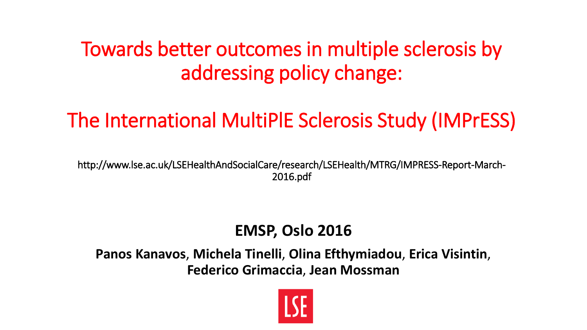#### Towards better outcomes in multiple sclerosis by addressing policy change:

### The International MultiPlE Sclerosis Study (IMPrESS)

http://www.lse.ac.uk/LSEHealthAndSocialCare/research/LSEHealth/MTRG/IMPRESS-Report-March-2016.pdf

#### **EMSP, Oslo 2016**

**Panos Kanavos**, **Michela Tinelli**, **Olina Efthymiadou**, **Erica Visintin**, **Federico Grimaccia**, **Jean Mossman**

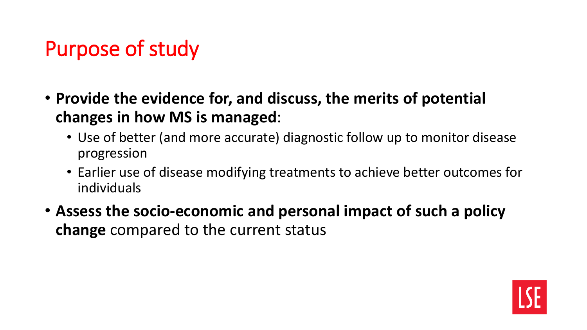## Purpose of study

- **Provide the evidence for, and discuss, the merits of potential changes in how MS is managed**:
	- Use of better (and more accurate) diagnostic follow up to monitor disease progression
	- Earlier use of disease modifying treatments to achieve better outcomes for individuals
- **Assess the socio-economic and personal impact of such a policy change** compared to the current status

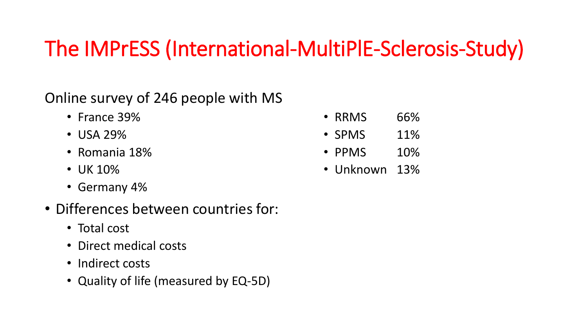## The IMPrESS (International-MultiPlE-Sclerosis-Study)

#### Online survey of 246 people with MS

- France 39%
- USA 29%
- Romania 18%
- UK 10%
- Germany 4%
- Differences between countries for:
	- Total cost
	- Direct medical costs
	- Indirect costs
	- Quality of life (measured by EQ-5D)
- RRMS 66%
- SPMS 11%
- PPMS 10%
- Unknown 13%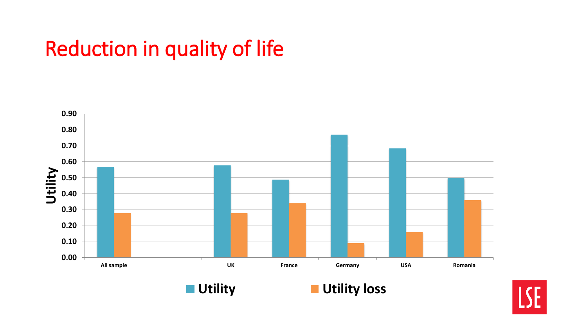## Reduction in quality of life





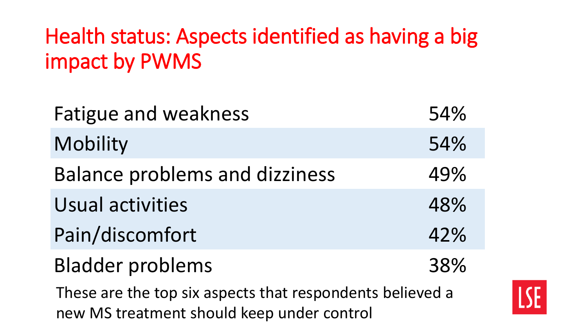# Health status: Aspects identified as having a big impact by PWMS

| <b>Fatigue and weakness</b>                                                                             | 54% |  |  |  |  |
|---------------------------------------------------------------------------------------------------------|-----|--|--|--|--|
| Mobility                                                                                                | 54% |  |  |  |  |
| <b>Balance problems and dizziness</b>                                                                   | 49% |  |  |  |  |
| Usual activities                                                                                        | 48% |  |  |  |  |
| Pain/discomfort                                                                                         | 42% |  |  |  |  |
| <b>Bladder problems</b>                                                                                 | 38% |  |  |  |  |
| These are the top six aspects that respondents believed a<br>new MS treatment should keep under control |     |  |  |  |  |

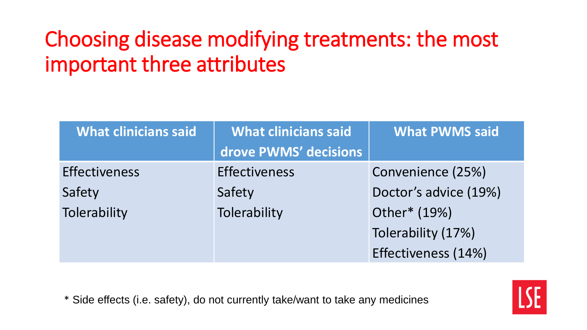# Choosing disease modifying treatments: the most important three attributes

| <b>What clinicians said</b> | <b>What clinicians said</b> | <b>What PWMS said</b> |  |  |
|-----------------------------|-----------------------------|-----------------------|--|--|
|                             | drove PWMS' decisions       |                       |  |  |
| <b>Effectiveness</b>        | <b>Effectiveness</b>        | Convenience (25%)     |  |  |
| Safety                      | Safety                      | Doctor's advice (19%) |  |  |
| Tolerability                | Tolerability                | Other* (19%)          |  |  |
|                             |                             | Tolerability (17%)    |  |  |
|                             |                             | Effectiveness (14%)   |  |  |

\* Side effects (i.e. safety), do not currently take/want to take any medicines

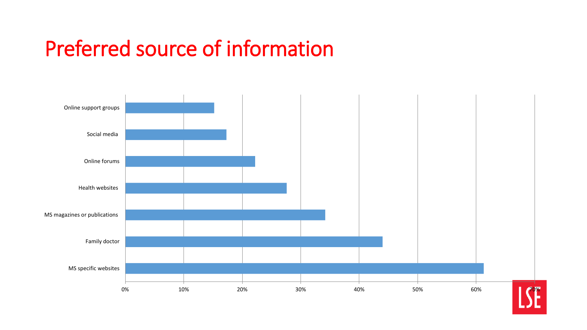#### Preferred source of information

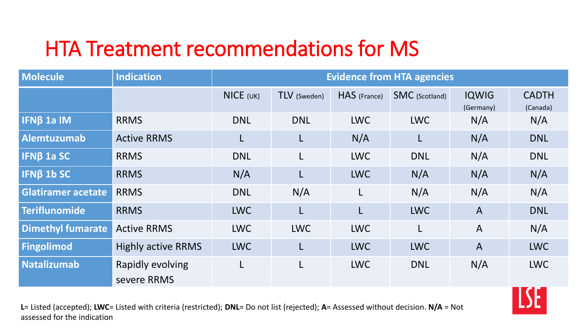## HTA Treatment recommendations for MS

| <b>Molecule</b>           | <b>Indication</b>               | <b>Evidence from HTA agencies</b> |              |              |                       |                           |                          |
|---------------------------|---------------------------------|-----------------------------------|--------------|--------------|-----------------------|---------------------------|--------------------------|
|                           |                                 | $NICE$ (UK)                       | TLV (Sweden) | HAS (France) | <b>SMC</b> (Scotland) | <b>IQWIG</b><br>(Germany) | <b>CADTH</b><br>(Canada) |
| <b>IFNB 1a IM</b>         | <b>RRMS</b>                     | <b>DNL</b>                        | <b>DNL</b>   | <b>LWC</b>   | <b>LWC</b>            | N/A                       | N/A                      |
| <b>Alemtuzumab</b>        | <b>Active RRMS</b>              | L                                 | L            | N/A          | L                     | N/A                       | <b>DNL</b>               |
| <b>IFNB 1a SC</b>         | <b>RRMS</b>                     | <b>DNL</b>                        | L            | <b>LWC</b>   | <b>DNL</b>            | N/A                       | <b>DNL</b>               |
| <b>IFNB 1b SC</b>         | <b>RRMS</b>                     | N/A                               | L            | <b>LWC</b>   | N/A                   | N/A                       | N/A                      |
| <b>Glatiramer acetate</b> | <b>RRMS</b>                     | <b>DNL</b>                        | N/A          | L            | N/A                   | N/A                       | N/A                      |
| Teriflunomide             | <b>RRMS</b>                     | <b>LWC</b>                        | L            | L            | <b>LWC</b>            | $\overline{A}$            | <b>DNL</b>               |
| <b>Dimethyl fumarate</b>  | <b>Active RRMS</b>              | <b>LWC</b>                        | <b>LWC</b>   | <b>LWC</b>   | L                     | $\overline{A}$            | N/A                      |
| <b>Fingolimod</b>         | <b>Highly active RRMS</b>       | <b>LWC</b>                        | L            | <b>LWC</b>   | <b>LWC</b>            | $\overline{A}$            | <b>LWC</b>               |
| Natalizumab               | Rapidly evolving<br>severe RRMS | L                                 | L            | <b>LWC</b>   | <b>DNL</b>            | N/A                       | <b>LWC</b>               |

**L**= Listed (accepted); **LWC**= Listed with criteria (restricted); **DNL**= Do not list (rejected); **A**= Assessed without decision. **N/A** = Not assessed for the indication

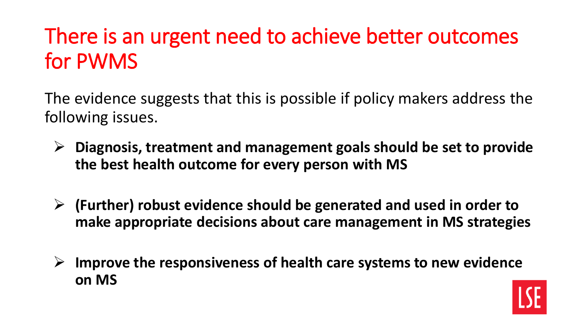# There is an urgent need to achieve better outcomes for PWMS

The evidence suggests that this is possible if policy makers address the following issues.

- **Diagnosis, treatment and management goals should be set to provide the best health outcome for every person with MS**
- **(Further) robust evidence should be generated and used in order to make appropriate decisions about care management in MS strategies**
- **Improve the responsiveness of health care systems to new evidence on MS**

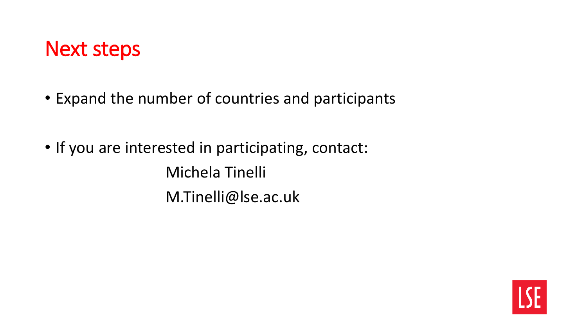#### Next steps

- Expand the number of countries and participants
- If you are interested in participating, contact: Michela Tinelli M.Tinelli@lse.ac.uk